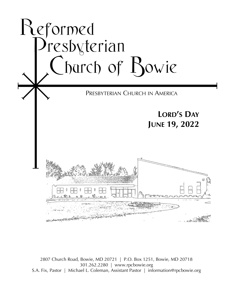

2807 Church Road, Bowie, MD 20721 | P.O. Box 1251, Bowie, MD 20718 301.262.2280 | www.rpcbowie.org S.A. Fix, Pastor | Michael L. Coleman, Assistant Pastor | information@rpcbowie.org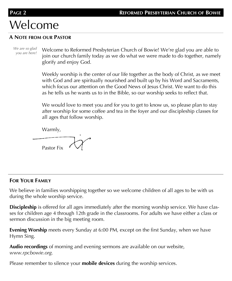# Welcome

#### **A NOTE FROM OUR PASTOR**

*We are so glad* 

*you are here!* Welcome to Reformed Presbyterian Church of Bowie! We're glad you are able to join our church family today as we do what we were made to do together, namely glorify and enjoy God.

Weekly worship is the center of our life together as the body of Christ, as we meet with God and are spiritually nourished and built up by his Word and Sacraments, which focus our attention on the Good News of Jesus Christ. We want to do this as he tells us he wants us to in the Bible, so our worship seeks to reflect that.

We would love to meet you and for you to get to know us, so please plan to stay after worship for some coffee and tea in the foyer and our discipleship classes for all ages that follow worship.

Warmly,

Pastor Fix

### **FOR YOUR FAMILY**

We believe in families worshipping together so we welcome children of all ages to be with us during the whole worship service.

**Discipleship** is offered for all ages immediately after the morning worship service. We have classes for children age 4 through 12th grade in the classrooms. For adults we have either a class or sermon discussion in the big meeting room.

**Evening Worship** meets every Sunday at 6:00 PM, except on the first Sunday, when we have Hymn Sing.

**Audio recordings** of morning and evening sermons are available on our website, *www.rpcbowie.org.*

Please remember to silence your **mobile devices** during the worship services.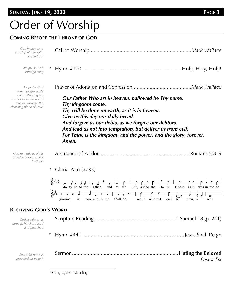### **SUNDAY, JUNE 19, 2022 PAGE 3**

# Order of Worship

### **COMING BEFORE THE THRONE OF GOD**

| God invites us to<br>worship him in spirit<br>and in truth                                                                               |                                                                                                                                                                                                                                                                                                                                                                    |
|------------------------------------------------------------------------------------------------------------------------------------------|--------------------------------------------------------------------------------------------------------------------------------------------------------------------------------------------------------------------------------------------------------------------------------------------------------------------------------------------------------------------|
| We praise God<br>through song                                                                                                            |                                                                                                                                                                                                                                                                                                                                                                    |
| We praise God<br>through prayer while<br>acknowledging our<br>need of forgiveness and<br>renewal through the<br>cleansing blood of Jesus | Our Father Who art in heaven, hallowed be Thy name.<br>Thy kingdom come.<br>Thy will be done on earth, as it is in heaven.<br>Give us this day our daily bread.<br>And forgive us our debts, as we forgive our debtors.<br>And lead us not into temptation, but deliver us from evil;<br>For Thine is the kingdom, and the power, and the glory, forever.<br>Amen. |
| God reminds us of his<br>promise of forgiveness<br>in Christ                                                                             |                                                                                                                                                                                                                                                                                                                                                                    |
|                                                                                                                                          | Gloria Patri (#735)                                                                                                                                                                                                                                                                                                                                                |



#### **RECEIVING GOD'S WORD**

| God speaks to us<br>through his Word read<br>and preached |            |
|-----------------------------------------------------------|------------|
|                                                           |            |
| Space for notes is<br>provided on page 7                  | Pastor Fix |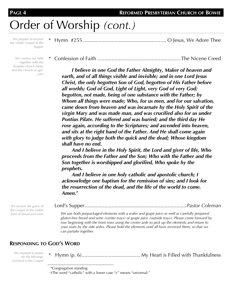# Order of Worship *(cont.)*

*We prepare to receive the visible Gospel in the Supper*

*We confess our faith together with the broader church today and the church of ages past*

|--|--|--|--|--|--|--|

\* Confession of Faith ..........................................................The Nicene Creed

*I believe in one God the Father Almighty, Maker of heaven and earth, and of all things visible and invisible; and in one Lord Jesus Christ, the only begotten Son of God, begotten of His Father before all worlds; God of God, Light of Light, very God of very God; begotten, not made, being of one substance with the Father; by Whom all things were made; Who, for us men, and for our salvation, came down from heaven and was incarnate by the Holy Spirit of the virgin Mary and was made man, and was crucified also for us under Pontius Pilate. He suffered and was buried; and the third day He rose again, according to the Scriptures; and ascended into heaven, and sits at the right hand of the Father. And He shall come again with glory to judge both the quick and the dead; Whose kingdom shall have no end.* 

*And I believe in the Holy Spirit, the Lord and giver of life, Who proceeds from the Father and the Son; Who with the Father and the Son together is worshipped and glorified, Who spoke by the prophets.* 

*And I believe in one holy catholic and apostolic church; I acknowledge one baptism for the remission of sins; and I look for the resurrection of the dead, and the life of the world to come. Amen.†*

*We receive the grace of the Gospel in the visible form of bread and wine*

|--|--|

*We use both prepackaged elements with a wafer and grape juice as well as carefully prepared gluten-free bread and wine (center trays) or grape juice (outside trays). Please come forward by*  row beginning with the front rows using the center aisle to pick up the elements and return to *your seats by the side aisles. Please hold the elements until all have received them, so that we can partake together.*

#### **RESPONDING TO GOD'S WORD**

*We respond in praise for the blessings received in the Gospel*

\* Hymn (p. 6)......................................... My Heart is Filled with Thankfulness

<sup>\*</sup>Congregation standing

<sup>†</sup>The word "catholic" with a lower case "c" means "universal."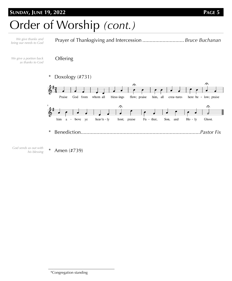### **SUNDAY, JUNE 19, 2022 PAGE 5**

*We give thanks and* 

# Order of Worship *(cont.)*

*bring our needs to God* **Offering** *We give a portion back as thanks to God* \* Doxology (#731)  $\Omega$  $\Omega$ 



Prayer of Thanksgiving and Intercession ............................. *Bruce Buchanan*

*God sends us out with his blessing*

\* Amen (#739)

\*Congregation standing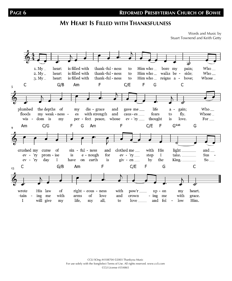## **MY HEART IS FILLED WITH THANKSFULNESS**

Words and Music by Stuart Townend and Keith Getty

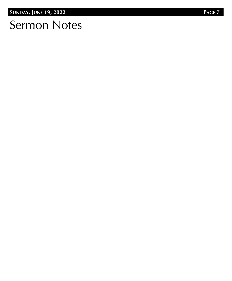# Sermon Notes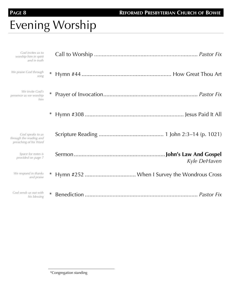# Evening Worship

|              | God invites us to<br>worship him in spirit<br>and in truth           |
|--------------|----------------------------------------------------------------------|
|              | We praise God through<br>song                                        |
|              | We invite God's<br>presence as we worship<br>him                     |
| $\ast$       |                                                                      |
|              | God speaks to us<br>through the reading and<br>preaching of his Word |
| Kyle DeHaven | Space for notes is<br>provided on page 7                             |
| ∗            | We respond in thanks<br>and praise                                   |
| $\ast$       | God sends us out with<br>his blessing                                |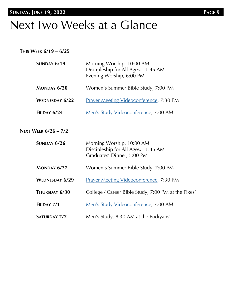# Next Two Weeks at a Glance

#### **THIS WEEK 6/19 – 6/25**

| <b>SUNDAY 6/19</b>          | Morning Worship, 10:00 AM<br>Discipleship for All Ages, 11:45 AM<br>Evening Worship, 6:00 PM   |
|-----------------------------|------------------------------------------------------------------------------------------------|
| MONDAY 6/20                 | Women's Summer Bible Study, 7:00 PM                                                            |
| <b>WEDNESDAY 6/22</b>       | <b>Prayer Meeting Videoconference, 7:30 PM</b>                                                 |
| <b>FRIDAY 6/24</b>          | Men's Study Videoconference, 7:00 AM                                                           |
| <b>NEXT WEEK 6/26 - 7/2</b> |                                                                                                |
| SUNDAY 6/26                 | Morning Worship, 10:00 AM<br>Discipleship for All Ages, 11:45 AM<br>Graduates' Dinner, 5:00 PM |
| MONDAY 6/27                 | Women's Summer Bible Study, 7:00 PM                                                            |
| <b>WEDNESDAY 6/29</b>       | Prayer Meeting Videoconference, 7:30 PM                                                        |
| THURSDAY 6/30               | College / Career Bible Study, 7:00 PM at the Fixes'                                            |
| FRIDAY 7/1                  | Men's Study Videoconference, 7:00 AM                                                           |
| <b>SATURDAY 7/2</b>         | Men's Study, 8:30 AM at the Podiyans'                                                          |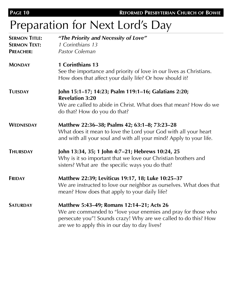```
PAGE 10 REFORMED PRESBYTERIAN CHURCH OF BOWIE
```
# Preparation for Next Lord's Day

| <b>SERMON TITLE:</b> | "The Priority and Necessity of Love"                                                                                                                                                                                           |  |
|----------------------|--------------------------------------------------------------------------------------------------------------------------------------------------------------------------------------------------------------------------------|--|
| <b>SERMON TEXT:</b>  | 1 Corinthians 13                                                                                                                                                                                                               |  |
| <b>PREACHER:</b>     | Pastor Coleman                                                                                                                                                                                                                 |  |
| <b>MONDAY</b>        | 1 Corinthians 13<br>See the importance and priority of love in our lives as Christians.                                                                                                                                        |  |
|                      | How does that affect your daily life? Or how should it?                                                                                                                                                                        |  |
| <b>TUESDAY</b>       | John 15:1-17; 14:23; Psalm 119:1-16; Galatians 2:20;<br><b>Revelation 3:20</b>                                                                                                                                                 |  |
|                      | We are called to abide in Christ. What does that mean? How do we<br>do that? How do you do that?                                                                                                                               |  |
| <b>WEDNESDAY</b>     | Matthew 22:36-38; Psalms 42; 63:1-8; 73:23-28<br>What does it mean to love the Lord your God with all your heart<br>and with all your soul and with all your mind? Apply to your life.                                         |  |
| <b>THURSDAY</b>      | John 13:34, 35; 1 John 4:7-21; Hebrews 10:24, 25<br>Why is it so important that we love our Christian brothers and<br>sisters? What are the specific ways you do that?                                                         |  |
| <b>FRIDAY</b>        | Matthew 22:39; Leviticus 19:17, 18; Luke 10:25-37<br>We are instructed to love our neighbor as ourselves. What does that<br>mean? How does that apply to your daily life?                                                      |  |
| <b>SATURDAY</b>      | Matthew 5:43-49; Romans 12:14-21; Acts 26<br>We are commanded to "love your enemies and pray for those who<br>persecute you"! Sounds crazy! Why are we called to do this? How<br>are we to apply this in our day to day lives? |  |